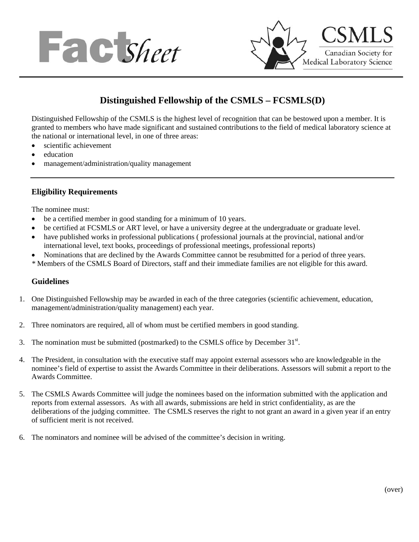



# **Distinguished Fellowship of the CSMLS – FCSMLS(D)**

Distinguished Fellowship of the CSMLS is the highest level of recognition that can be bestowed upon a member. It is granted to members who have made significant and sustained contributions to the field of medical laboratory science at the national or international level, in one of three areas:

- scientific achievement
- education
- management/administration/quality management

#### **Eligibility Requirements**

The nominee must:

- be a certified member in good standing for a minimum of 10 years.
- be certified at FCSMLS or ART level, or have a university degree at the undergraduate or graduate level.
- have published works in professional publications ( professional journals at the provincial, national and/or international level, text books, proceedings of professional meetings, professional reports)
- Nominations that are declined by the Awards Committee cannot be resubmitted for a period of three years.
- *\** Members of the CSMLS Board of Directors, staff and their immediate families are not eligible for this award.

#### **Guidelines**

- 1. One Distinguished Fellowship may be awarded in each of the three categories (scientific achievement, education, management/administration/quality management) each year.
- 2. Three nominators are required, all of whom must be certified members in good standing.
- 3. The nomination must be submitted (postmarked) to the CSMLS office by December  $31<sup>st</sup>$ .
- 4. The President, in consultation with the executive staff may appoint external assessors who are knowledgeable in the nominee's field of expertise to assist the Awards Committee in their deliberations. Assessors will submit a report to the Awards Committee.
- 5. The CSMLS Awards Committee will judge the nominees based on the information submitted with the application and reports from external assessors. As with all awards, submissions are held in strict confidentiality, as are the deliberations of the judging committee. The CSMLS reserves the right to not grant an award in a given year if an entry of sufficient merit is not received.
- 6. The nominators and nominee will be advised of the committee's decision in writing.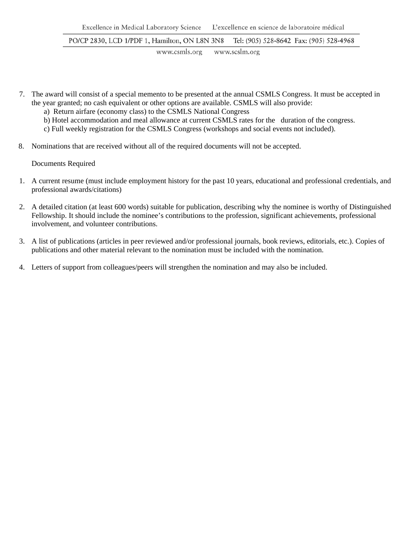PO/CP 2830, LCD 1/PDF 1, Hamilton, ON L8N 3N8 Tel: (905) 528-8642 Fax: (905) 528-4968

> www.csmls.org www.scslm.org

- 7. The award will consist of a special memento to be presented at the annual CSMLS Congress. It must be accepted in the year granted; no cash equivalent or other options are available. CSMLS will also provide:
	- a) Return airfare (economy class) to the CSMLS National Congress
	- b) Hotel accommodation and meal allowance at current CSMLS rates for the duration of the congress.
	- c) Full weekly registration for the CSMLS Congress (workshops and social events not included).
- 8. Nominations that are received without all of the required documents will not be accepted.

Documents Required

- 1. A current resume (must include employment history for the past 10 years, educational and professional credentials, and professional awards/citations)
- 2. A detailed citation (at least 600 words) suitable for publication, describing why the nominee is worthy of Distinguished Fellowship. It should include the nominee's contributions to the profession, significant achievements, professional involvement, and volunteer contributions.
- 3. A list of publications (articles in peer reviewed and/or professional journals, book reviews, editorials, etc.). Copies of publications and other material relevant to the nomination must be included with the nomination.
- 4. Letters of support from colleagues/peers will strengthen the nomination and may also be included.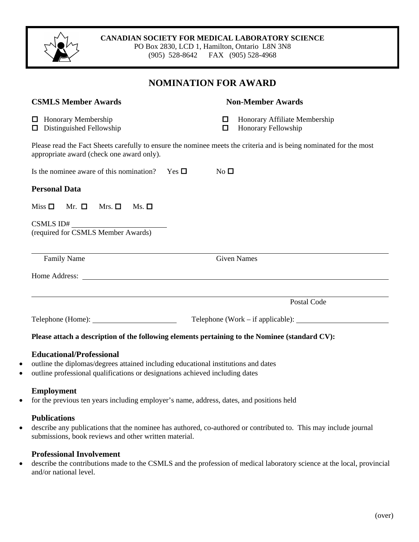#### **CANADIAN SOCIETY FOR MEDICAL LABORATORY SCIENCE**

PO Box 2830, LCD 1, Hamilton, Ontario L8N 3N8 (905) 528-8642 FAX (905) 528-4968

## **NOMINATION FOR AWARD**

| <b>CSMLS Member Awards</b>                                                                                                                                                                                                     | <b>Non-Member Awards</b>                                                                                            |                                                                                                                    |  |  |
|--------------------------------------------------------------------------------------------------------------------------------------------------------------------------------------------------------------------------------|---------------------------------------------------------------------------------------------------------------------|--------------------------------------------------------------------------------------------------------------------|--|--|
| <b>I</b> Honorary Membership<br>$\Box$ Distinguished Fellowship                                                                                                                                                                | □<br>□                                                                                                              | Honorary Affiliate Membership<br>Honorary Fellowship                                                               |  |  |
| appropriate award (check one award only).                                                                                                                                                                                      |                                                                                                                     | Please read the Fact Sheets carefully to ensure the nominee meets the criteria and is being nominated for the most |  |  |
| Is the nominee aware of this nomination?                                                                                                                                                                                       | Yes $\Box$<br>$No$ $\square$                                                                                        |                                                                                                                    |  |  |
| <b>Personal Data</b>                                                                                                                                                                                                           |                                                                                                                     |                                                                                                                    |  |  |
| $Miss \Box$ Mr. $\Box$<br>Mrs. $\Box$<br>$Ms. \Box$                                                                                                                                                                            |                                                                                                                     |                                                                                                                    |  |  |
| CSMLS ID#<br>(required for CSMLS Member Awards)                                                                                                                                                                                |                                                                                                                     |                                                                                                                    |  |  |
| Family Name                                                                                                                                                                                                                    |                                                                                                                     | <b>Given Names</b>                                                                                                 |  |  |
| Home Address: The Second Second Second Second Second Second Second Second Second Second Second Second Second Second Second Second Second Second Second Second Second Second Second Second Second Second Second Second Second S |                                                                                                                     |                                                                                                                    |  |  |
|                                                                                                                                                                                                                                |                                                                                                                     | Postal Code                                                                                                        |  |  |
|                                                                                                                                                                                                                                |                                                                                                                     | Telephone (Work – if applicable): $\sqrt{\frac{2}{\pi}}$                                                           |  |  |
| Please attach a description of the following elements pertaining to the Nominee (standard CV):                                                                                                                                 |                                                                                                                     |                                                                                                                    |  |  |
| <b>Educational/Professional</b>                                                                                                                                                                                                | and the contract of the contract of the contract of the contract of the contract of the contract of the contract of |                                                                                                                    |  |  |

- outline the diplomas/degrees attained including educational institutions and dates
- outline professional qualifications or designations achieved including dates

## **Employment**

• for the previous ten years including employer's name, address, dates, and positions held

#### **Publications**

• describe any publications that the nominee has authored, co-authored or contributed to. This may include journal submissions, book reviews and other written material.

## **Professional Involvement**

• describe the contributions made to the CSMLS and the profession of medical laboratory science at the local, provincial and/or national level.